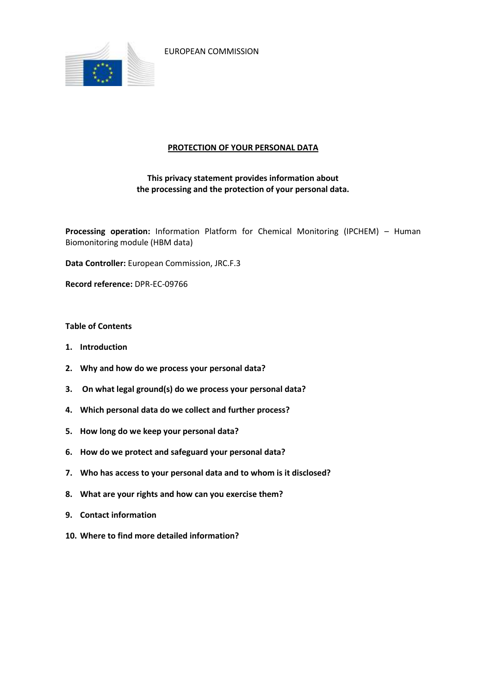

EUROPEAN COMMISSION

### **PROTECTION OF YOUR PERSONAL DATA**

# **This privacy statement provides information about the processing and the protection of your personal data.**

**Processing operation:** Information Platform for Chemical Monitoring (IPCHEM) – Human Biomonitoring module (HBM data)

**Data Controller:** European Commission, JRC.F.3

**Record reference:** DPR-EC-09766

### **Table of Contents**

- **1. Introduction**
- **2. Why and how do we process your personal data?**
- **3. On what legal ground(s) do we process your personal data?**
- **4. Which personal data do we collect and further process?**
- **5. How long do we keep your personal data?**
- **6. How do we protect and safeguard your personal data?**
- **7. Who has access to your personal data and to whom is it disclosed?**
- **8. What are your rights and how can you exercise them?**
- **9. Contact information**
- **10. Where to find more detailed information?**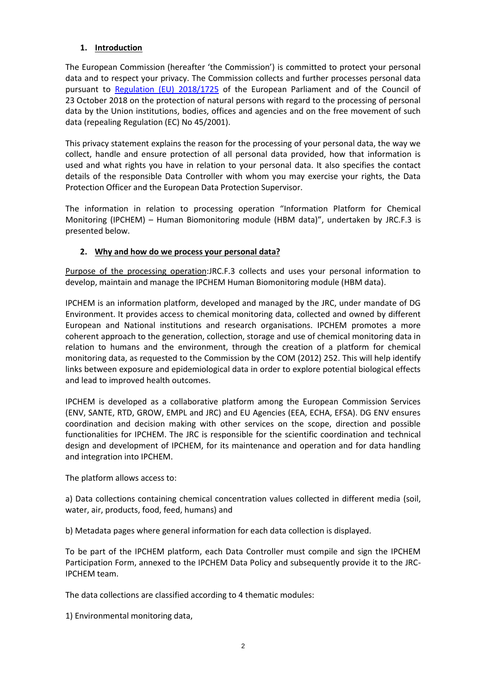## **1. Introduction**

The European Commission (hereafter 'the Commission') is committed to protect your personal data and to respect your privacy. The Commission collects and further processes personal data pursuant to [Regulation \(EU\) 2018/1725](https://eur-lex.europa.eu/legal-content/EN/TXT/?uri=uriserv:OJ.L_.2018.295.01.0039.01.ENG&toc=OJ:L:2018:295:TOC) of the European Parliament and of the Council of 23 October 2018 on the protection of natural persons with regard to the processing of personal data by the Union institutions, bodies, offices and agencies and on the free movement of such data (repealing Regulation (EC) No 45/2001).

This privacy statement explains the reason for the processing of your personal data, the way we collect, handle and ensure protection of all personal data provided, how that information is used and what rights you have in relation to your personal data. It also specifies the contact details of the responsible Data Controller with whom you may exercise your rights, the Data Protection Officer and the European Data Protection Supervisor.

The information in relation to processing operation "Information Platform for Chemical Monitoring (IPCHEM) – Human Biomonitoring module (HBM data)", undertaken by JRC.F.3 is presented below.

## **2. Why and how do we process your personal data?**

Purpose of the processing operation:JRC.F.3 collects and uses your personal information to develop, maintain and manage the IPCHEM Human Biomonitoring module (HBM data).

IPCHEM is an information platform, developed and managed by the JRC, under mandate of DG Environment. It provides access to chemical monitoring data, collected and owned by different European and National institutions and research organisations. IPCHEM promotes a more coherent approach to the generation, collection, storage and use of chemical monitoring data in relation to humans and the environment, through the creation of a platform for chemical monitoring data, as requested to the Commission by the COM (2012) 252. This will help identify links between exposure and epidemiological data in order to explore potential biological effects and lead to improved health outcomes.

IPCHEM is developed as a collaborative platform among the European Commission Services (ENV, SANTE, RTD, GROW, EMPL and JRC) and EU Agencies (EEA, ECHA, EFSA). DG ENV ensures coordination and decision making with other services on the scope, direction and possible functionalities for IPCHEM. The JRC is responsible for the scientific coordination and technical design and development of IPCHEM, for its maintenance and operation and for data handling and integration into IPCHEM.

The platform allows access to:

a) Data collections containing chemical concentration values collected in different media (soil, water, air, products, food, feed, humans) and

b) Metadata pages where general information for each data collection is displayed.

To be part of the IPCHEM platform, each Data Controller must compile and sign the IPCHEM Participation Form, annexed to the IPCHEM Data Policy and subsequently provide it to the JRC-IPCHEM team.

The data collections are classified according to 4 thematic modules:

1) Environmental monitoring data,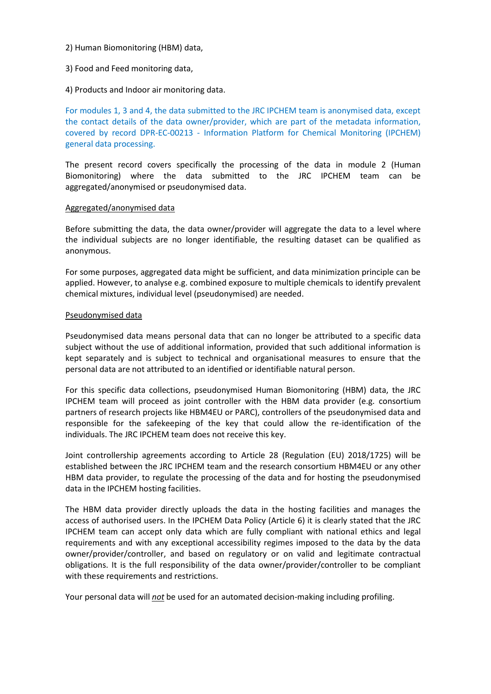#### 2) Human Biomonitoring (HBM) data,

## 3) Food and Feed monitoring data,

4) Products and Indoor air monitoring data.

For modules 1, 3 and 4, the data submitted to the JRC IPCHEM team is anonymised data, except the contact details of the data owner/provider, which are part of the metadata information, covered by record DPR-EC-00213 - Information Platform for Chemical Monitoring (IPCHEM) general data processing.

The present record covers specifically the processing of the data in module 2 (Human Biomonitoring) where the data submitted to the JRC IPCHEM team can be aggregated/anonymised or pseudonymised data.

#### Aggregated/anonymised data

Before submitting the data, the data owner/provider will aggregate the data to a level where the individual subjects are no longer identifiable, the resulting dataset can be qualified as anonymous.

For some purposes, aggregated data might be sufficient, and data minimization principle can be applied. However, to analyse e.g. combined exposure to multiple chemicals to identify prevalent chemical mixtures, individual level (pseudonymised) are needed.

#### Pseudonymised data

Pseudonymised data means personal data that can no longer be attributed to a specific data subject without the use of additional information, provided that such additional information is kept separately and is subject to technical and organisational measures to ensure that the personal data are not attributed to an identified or identifiable natural person.

For this specific data collections, pseudonymised Human Biomonitoring (HBM) data, the JRC IPCHEM team will proceed as joint controller with the HBM data provider (e.g. consortium partners of research projects like HBM4EU or PARC), controllers of the pseudonymised data and responsible for the safekeeping of the key that could allow the re-identification of the individuals. The JRC IPCHEM team does not receive this key.

Joint controllership agreements according to Article 28 (Regulation (EU) 2018/1725) will be established between the JRC IPCHEM team and the research consortium HBM4EU or any other HBM data provider, to regulate the processing of the data and for hosting the pseudonymised data in the IPCHEM hosting facilities.

The HBM data provider directly uploads the data in the hosting facilities and manages the access of authorised users. In the IPCHEM Data Policy (Article 6) it is clearly stated that the JRC IPCHEM team can accept only data which are fully compliant with national ethics and legal requirements and with any exceptional accessibility regimes imposed to the data by the data owner/provider/controller, and based on regulatory or on valid and legitimate contractual obligations. It is the full responsibility of the data owner/provider/controller to be compliant with these requirements and restrictions.

Your personal data will *not* be used for an automated decision-making including profiling.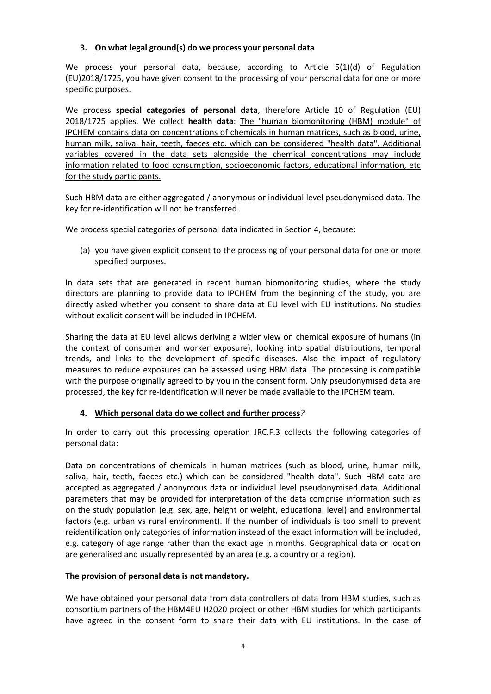### **3. On what legal ground(s) do we process your personal data**

We process your personal data, because, according to Article 5(1)(d) of Regulation (EU)2018/1725, you have given consent to the processing of your personal data for one or more specific purposes.

We process **special categories of personal data**, therefore Article 10 of Regulation (EU) 2018/1725 applies. We collect **health data**: The "human biomonitoring (HBM) module" of IPCHEM contains data on concentrations of chemicals in human matrices, such as blood, urine, human milk, saliva, hair, teeth, faeces etc. which can be considered "health data". Additional variables covered in the data sets alongside the chemical concentrations may include information related to food consumption, socioeconomic factors, educational information, etc for the study participants.

Such HBM data are either aggregated / anonymous or individual level pseudonymised data. The key for re-identification will not be transferred.

We process special categories of personal data indicated in Section 4, because:

(a) you have given explicit consent to the processing of your personal data for one or more specified purposes.

In data sets that are generated in recent human biomonitoring studies, where the study directors are planning to provide data to IPCHEM from the beginning of the study, you are directly asked whether you consent to share data at EU level with EU institutions. No studies without explicit consent will be included in IPCHEM.

Sharing the data at EU level allows deriving a wider view on chemical exposure of humans (in the context of consumer and worker exposure), looking into spatial distributions, temporal trends, and links to the development of specific diseases. Also the impact of regulatory measures to reduce exposures can be assessed using HBM data. The processing is compatible with the purpose originally agreed to by you in the consent form. Only pseudonymised data are processed, the key for re-identification will never be made available to the IPCHEM team.

#### **4. Which personal data do we collect and further process***?*

In order to carry out this processing operation JRC.F.3 collects the following categories of personal data:

Data on concentrations of chemicals in human matrices (such as blood, urine, human milk, saliva, hair, teeth, faeces etc.) which can be considered "health data". Such HBM data are accepted as aggregated / anonymous data or individual level pseudonymised data. Additional parameters that may be provided for interpretation of the data comprise information such as on the study population (e.g. sex, age, height or weight, educational level) and environmental factors (e.g. urban vs rural environment). If the number of individuals is too small to prevent reidentification only categories of information instead of the exact information will be included, e.g. category of age range rather than the exact age in months. Geographical data or location are generalised and usually represented by an area (e.g. a country or a region).

## **The provision of personal data is not mandatory.**

We have obtained your personal data from data controllers of data from HBM studies, such as consortium partners of the HBM4EU H2020 project or other HBM studies for which participants have agreed in the consent form to share their data with EU institutions. In the case of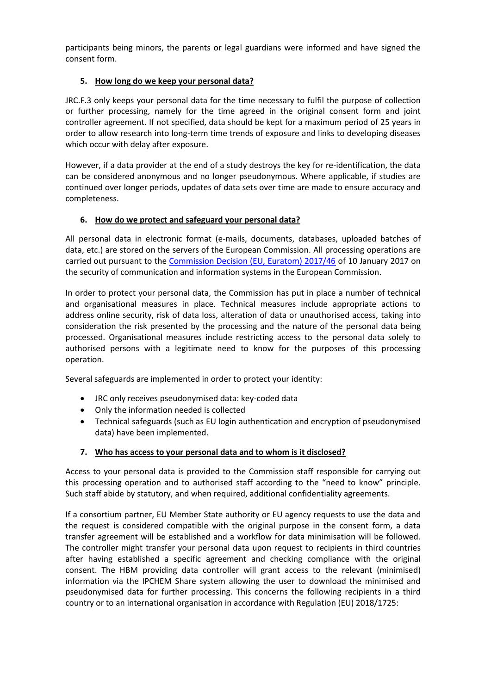participants being minors, the parents or legal guardians were informed and have signed the consent form.

## **5. How long do we keep your personal data?**

JRC.F.3 only keeps your personal data for the time necessary to fulfil the purpose of collection or further processing, namely for the time agreed in the original consent form and joint controller agreement. If not specified, data should be kept for a maximum period of 25 years in order to allow research into long-term time trends of exposure and links to developing diseases which occur with delay after exposure.

However, if a data provider at the end of a study destroys the key for re-identification, the data can be considered anonymous and no longer pseudonymous. Where applicable, if studies are continued over longer periods, updates of data sets over time are made to ensure accuracy and completeness.

### **6. How do we protect and safeguard your personal data?**

All personal data in electronic format (e-mails, documents, databases, uploaded batches of data, etc.) are stored on the servers of the European Commission. All processing operations are carried out pursuant to the [Commission Decision \(EU, Euratom\) 2017/46](https://eur-lex.europa.eu/legal-content/EN/TXT/?qid=1548093747090&uri=CELEX:32017D0046) of 10 January 2017 on the security of communication and information systems in the European Commission.

In order to protect your personal data, the Commission has put in place a number of technical and organisational measures in place. Technical measures include appropriate actions to address online security, risk of data loss, alteration of data or unauthorised access, taking into consideration the risk presented by the processing and the nature of the personal data being processed. Organisational measures include restricting access to the personal data solely to authorised persons with a legitimate need to know for the purposes of this processing operation.

Several safeguards are implemented in order to protect your identity:

- JRC only receives pseudonymised data: key-coded data
- Only the information needed is collected
- Technical safeguards (such as EU login authentication and encryption of pseudonymised data) have been implemented.

## **7. Who has access to your personal data and to whom is it disclosed?**

Access to your personal data is provided to the Commission staff responsible for carrying out this processing operation and to authorised staff according to the "need to know" principle. Such staff abide by statutory, and when required, additional confidentiality agreements.

If a consortium partner, EU Member State authority or EU agency requests to use the data and the request is considered compatible with the original purpose in the consent form, a data transfer agreement will be established and a workflow for data minimisation will be followed. The controller might transfer your personal data upon request to recipients in third countries after having established a specific agreement and checking compliance with the original consent. The HBM providing data controller will grant access to the relevant (minimised) information via the IPCHEM Share system allowing the user to download the minimised and pseudonymised data for further processing. This concerns the following recipients in a third country or to an international organisation in accordance with Regulation (EU) 2018/1725: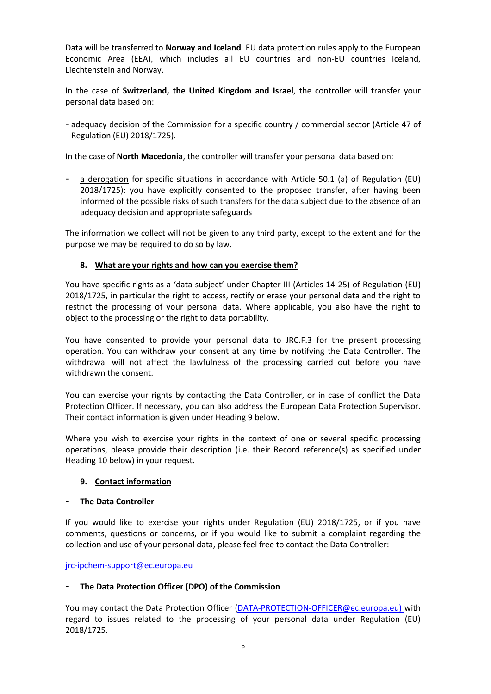Data will be transferred to **Norway and Iceland**. EU data protection rules apply to the European Economic Area (EEA), which includes all EU countries and non-EU countries Iceland, Liechtenstein and Norway.

In the case of **Switzerland, the United Kingdom and Israel**, the controller will transfer your personal data based on:

- adequacy decision of the Commission for a specific country / commercial sector (Article 47 of Regulation (EU) 2018/1725).

In the case of **North Macedonia**, the controller will transfer your personal data based on:

a derogation for specific situations in accordance with Article 50.1 (a) of Regulation (EU) 2018/1725): you have explicitly consented to the proposed transfer, after having been informed of the possible risks of such transfers for the data subject due to the absence of an adequacy decision and appropriate safeguards

The information we collect will not be given to any third party, except to the extent and for the purpose we may be required to do so by law.

## **8. What are your rights and how can you exercise them?**

You have specific rights as a 'data subject' under Chapter III (Articles 14-25) of Regulation (EU) 2018/1725, in particular the right to access, rectify or erase your personal data and the right to restrict the processing of your personal data. Where applicable, you also have the right to object to the processing or the right to data portability.

You have consented to provide your personal data to JRC.F.3 for the present processing operation. You can withdraw your consent at any time by notifying the Data Controller. The withdrawal will not affect the lawfulness of the processing carried out before you have withdrawn the consent.

You can exercise your rights by contacting the Data Controller, or in case of conflict the Data Protection Officer. If necessary, you can also address the European Data Protection Supervisor. Their contact information is given under Heading 9 below.

Where you wish to exercise your rights in the context of one or several specific processing operations, please provide their description (i.e. their Record reference(s) as specified under Heading 10 below) in your request.

#### **9. Contact information**

#### - **The Data Controller**

If you would like to exercise your rights under Regulation (EU) 2018/1725, or if you have comments, questions or concerns, or if you would like to submit a complaint regarding the collection and use of your personal data, please feel free to contact the Data Controller:

[jrc-ipchem-support@ec.europa.eu](mailto:jrc-ipchem-support@ec.europa.eu)

## - **The Data Protection Officer (DPO) of the Commission**

You may contact the Data Protection Officer [\(DATA-PROTECTION-OFFICER@ec.europa.eu\)](mailto:DATA-PROTECTION-OFFICER@ec.europa.eu) with regard to issues related to the processing of your personal data under Regulation (EU) 2018/1725.